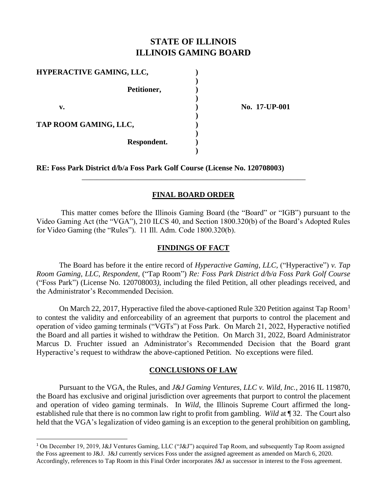# **STATE OF ILLINOIS ILLINOIS GAMING BOARD**

| <b>HYPERACTIVE GAMING, LLC,</b> |               |
|---------------------------------|---------------|
| Petitioner,                     |               |
| v.                              | No. 17-UP-001 |
| TAP ROOM GAMING, LLC,           |               |
| Respondent.                     |               |
|                                 |               |

**RE: Foss Park District d/b/a Foss Park Golf Course (License No. 120708003)**

### **FINAL BOARD ORDER**

\_\_\_\_\_\_\_\_\_\_\_\_\_\_\_\_\_\_\_\_\_\_\_\_\_\_\_\_\_\_\_\_\_\_\_\_\_\_\_\_\_\_\_\_\_\_\_\_\_\_\_\_\_\_\_\_\_\_\_

This matter comes before the Illinois Gaming Board (the "Board" or "IGB") pursuant to the Video Gaming Act (the "VGA"), 210 ILCS 40, and Section 1800.320(b) of the Board's Adopted Rules for Video Gaming (the "Rules"). 11 Ill. Adm. Code 1800.320(b).

### **FINDINGS OF FACT**

The Board has before it the entire record of *Hyperactive Gaming, LLC,* ("Hyperactive") *v. Tap Room Gaming, LLC, Respondent,* ("Tap Room") *Re: Foss Park District d/b/a Foss Park Golf Course* ("Foss Park") (License No. 120708003*)*, including the filed Petition, all other pleadings received, and the Administrator's Recommended Decision.

On March 22, 2017, Hyperactive filed the above-captioned Rule 320 Petition against Tap Room<sup>1</sup> to contest the validity and enforceability of an agreement that purports to control the placement and operation of video gaming terminals ("VGTs") at Foss Park. On March 21, 2022, Hyperactive notified the Board and all parties it wished to withdraw the Petition. On March 31, 2022, Board Administrator Marcus D. Fruchter issued an Administrator's Recommended Decision that the Board grant Hyperactive's request to withdraw the above-captioned Petition. No exceptions were filed.

### **CONCLUSIONS OF LAW**

Pursuant to the VGA, the Rules, and *J&J Gaming Ventures, LLC v. Wild, Inc.*, 2016 IL 119870, the Board has exclusive and original jurisdiction over agreements that purport to control the placement and operation of video gaming terminals. In *Wild*, the Illinois Supreme Court affirmed the longestablished rule that there is no common law right to profit from gambling. *Wild* at ¶ 32. The Court also held that the VGA's legalization of video gaming is an exception to the general prohibition on gambling,

<sup>1</sup> On December 19, 2019, J&J Ventures Gaming, LLC ("J&J") acquired Tap Room, and subsequently Tap Room assigned the Foss agreement to J&J. J&J currently services Foss under the assigned agreement as amended on March 6, 2020. Accordingly, references to Tap Room in this Final Order incorporates J&J as successor in interest to the Foss agreement.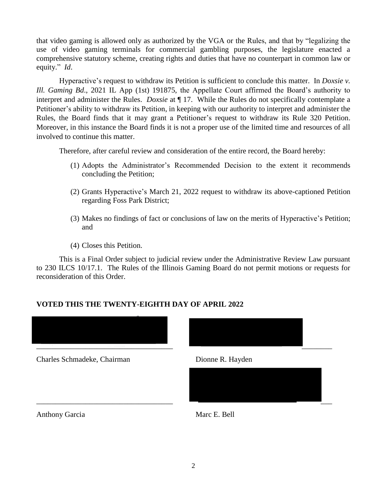that video gaming is allowed only as authorized by the VGA or the Rules, and that by "legalizing the use of video gaming terminals for commercial gambling purposes, the legislature enacted a comprehensive statutory scheme, creating rights and duties that have no counterpart in common law or equity." *Id*.

Hyperactive's request to withdraw its Petition is sufficient to conclude this matter. In *Doxsie v. Ill. Gaming Bd*., 2021 IL App (1st) 191875, the Appellate Court affirmed the Board's authority to interpret and administer the Rules. *Doxsie* at ¶ 17. While the Rules do not specifically contemplate a Petitioner's ability to withdraw its Petition, in keeping with our authority to interpret and administer the Rules, the Board finds that it may grant a Petitioner's request to withdraw its Rule 320 Petition. Moreover, in this instance the Board finds it is not a proper use of the limited time and resources of all involved to continue this matter.

Therefore, after careful review and consideration of the entire record, the Board hereby:

- (1) Adopts the Administrator's Recommended Decision to the extent it recommends concluding the Petition;
- (2) Grants Hyperactive's March 21, 2022 request to withdraw its above-captioned Petition regarding Foss Park District;
- (3) Makes no findings of fact or conclusions of law on the merits of Hyperactive's Petition; and
- (4) Closes this Petition.

This is a Final Order subject to judicial review under the Administrative Review Law pursuant to 230 ILCS 10/17.1. The Rules of the Illinois Gaming Board do not permit motions or requests for reconsideration of this Order.

# **VOTED THIS THE TWENTY-EIGHTH DAY OF APRIL 2022**



Charles Schmadeke, Chairman Dionne R. Hayden



Anthony Garcia Marc E. Bell



 $\overline{\phantom{a}}$  , and the contract of the contract of the contract of  $\overline{\phantom{a}}$  , and  $\overline{\phantom{a}}$  , and  $\overline{\phantom{a}}$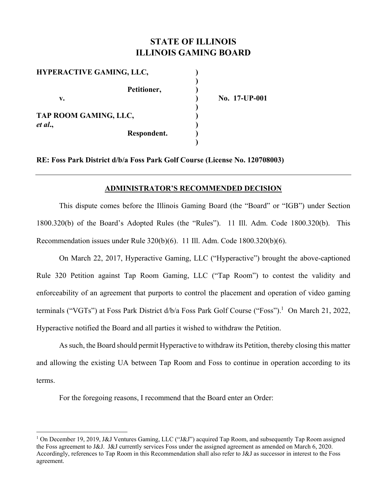# **STATE OF ILLINOIS ILLINOIS GAMING BOARD**

**v. ) No. 17-UP-001** 

| <b>HYPERACTIVE GAMING, LLC,</b> |             |     |
|---------------------------------|-------------|-----|
|                                 |             |     |
|                                 | Petitioner, |     |
| v.                              |             | No. |
|                                 |             |     |
| TAP ROOM GAMING, LLC,           |             |     |
| et al.,                         |             |     |
|                                 | Respondent. |     |
|                                 |             |     |

**RE: Foss Park District d/b/a Foss Park Golf Course (License No. 120708003)** 

#### **ADMINISTRATOR'S RECOMMENDED DECISION**

This dispute comes before the Illinois Gaming Board (the "Board" or "IGB") under Section 1800.320(b) of the Board's Adopted Rules (the "Rules"). 11 Ill. Adm. Code 1800.320(b). This Recommendation issues under Rule 320(b)(6). 11 Ill. Adm. Code 1800.320(b)(6).

On March 22, 2017, Hyperactive Gaming, LLC ("Hyperactive") brought the above-captioned Rule 320 Petition against Tap Room Gaming, LLC ("Tap Room") to contest the validity and enforceability of an agreement that purports to control the placement and operation of video gaming terminals ("VGTs") at Foss Park District d/b/a Foss Park Golf Course ("Foss").<sup>1</sup> On March 21, 2022, Hyperactive notified the Board and all parties it wished to withdraw the Petition.

As such, the Board should permit Hyperactive to withdraw its Petition, thereby closing this matter and allowing the existing UA between Tap Room and Foss to continue in operation according to its terms.

For the foregoing reasons, I recommend that the Board enter an Order:

<sup>&</sup>lt;sup>1</sup> On December 19, 2019, J&J Ventures Gaming, LLC ("J&J") acquired Tap Room, and subsequently Tap Room assigned the Foss agreement to J&J. J&J currently services Foss under the assigned agreement as amended on March 6, 2020. Accordingly, references to Tap Room in this Recommendation shall also refer to J&J as successor in interest to the Foss agreement.